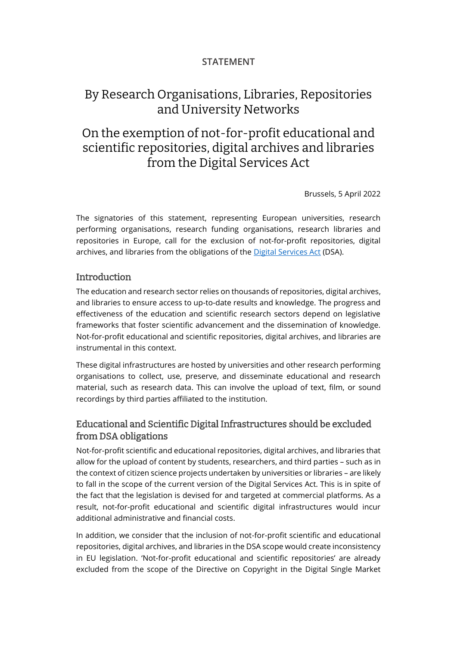### STATEMENT

# By Research Organisations, Libraries, Repositories and University Networks

# On the exemption of not-for-profit educational and scientific repositories, digital archives and libraries from the Digital Services Act

Brussels, 5 April 2022

The signatories of this statement, representing European universities, research performing organisations, research funding organisations, research libraries and repositories in Europe, call for the exclusion of not-for-profit repositories, digital archives, and libraries from the obligations of the [Digital Services Act](https://ec.europa.eu/info/digital-services-act-ensuring-safe-and-accountable-online-environment_en?msclkid=61c6f8acaf4311ecbb5985dad561f41d) (DSA).

#### **Introduction**

The education and research sector relies on thousands of repositories, digital archives, and libraries to ensure access to up-to-date results and knowledge. The progress and effectiveness of the education and scientific research sectors depend on legislative frameworks that foster scientific advancement and the dissemination of knowledge. Not-for-profit educational and scientific repositories, digital archives, and libraries are instrumental in this context.

These digital infrastructures are hosted by universities and other research performing organisations to collect, use, preserve, and disseminate educational and research material, such as research data. This can involve the upload of text, film, or sound recordings by third parties affiliated to the institution.

### Educational and Scientific Digital Infrastructures should be excluded from DSA obligations

Not-for-profit scientific and educational repositories, digital archives, and libraries that allow for the upload of content by students, researchers, and third parties – such as in the context of citizen science projects undertaken by universities or libraries – are likely to fall in the scope of the current version of the Digital Services Act. This is in spite of the fact that the legislation is devised for and targeted at commercial platforms. As a result, not-for-profit educational and scientific digital infrastructures would incur additional administrative and financial costs.

In addition, we consider that the inclusion of not-for-profit scientific and educational repositories, digital archives, and libraries in the DSA scope would create inconsistency in EU legislation. 'Not-for-profit educational and scientific repositories' are already excluded from the scope of the Directive on Copyright in the Digital Single Market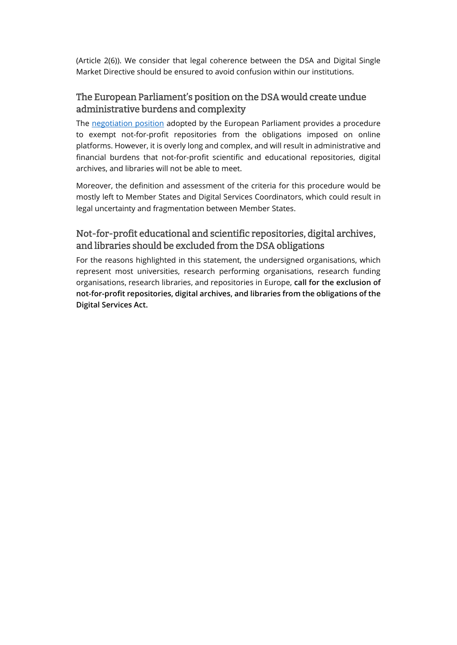(Article 2(6)). We consider that legal coherence between the DSA and Digital Single Market Directive should be ensured to avoid confusion within our institutions.

## The European Parliament's position on the DSA would create undue administrative burdens and complexity

The [negotiation position](https://www.europarl.europa.eu/doceo/document/TA-9-2022-0014_EN.html?msclkid=61c7dea3af4311ec8dd05682d8633c45) adopted by the European Parliament provides a procedure to exempt not-for-profit repositories from the obligations imposed on online platforms. However, it is overly long and complex, and will result in administrative and financial burdens that not-for-profit scientific and educational repositories, digital archives, and libraries will not be able to meet.

Moreover, the definition and assessment of the criteria for this procedure would be mostly left to Member States and Digital Services Coordinators, which could result in legal uncertainty and fragmentation between Member States.

## Not-for-profit educational and scientific repositories, digital archives, and libraries should be excluded from the DSA obligations

For the reasons highlighted in this statement, the undersigned organisations, which represent most universities, research performing organisations, research funding organisations, research libraries, and repositories in Europe, call for the exclusion of not-for-profit repositories, digital archives, and libraries from the obligations of the Digital Services Act.